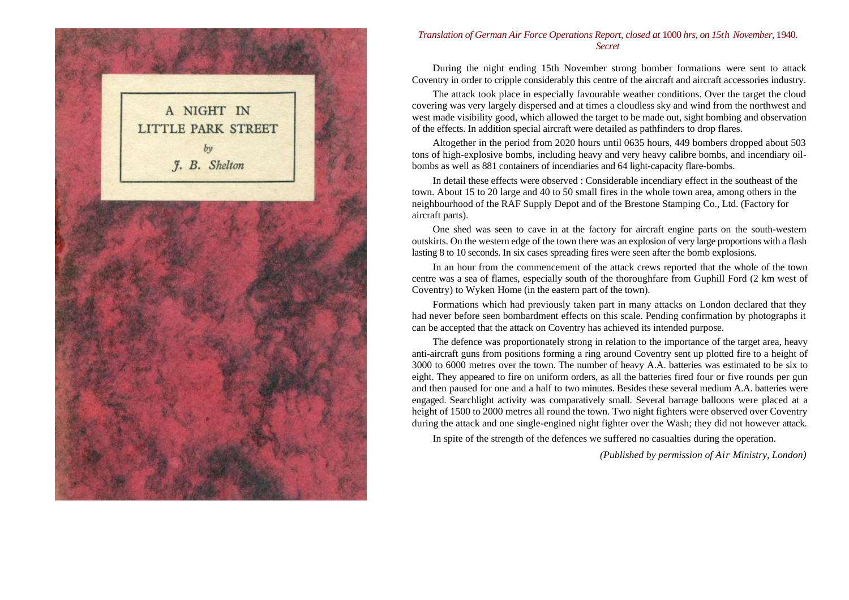

#### *Translation of German Air Force Operations Report, closed at* 1000 *hrs, on 15th November,* 1940. *Secret*

During the night ending 15th November strong bomber formations were sent to attack Coventry in order to cripple considerably this centre of the aircraft and aircraft accessories industry.

The attack took place in especially favourable weather conditions. Over the target the cloud covering was very largely dispersed and at times a cloudless sky and wind from the northwest and west made visibility good, which allowed the target to be made out, sight bombing and observation of the effects. In addition special aircraft were detailed as pathfinders to drop flares.

Altogether in the period from 2020 hours until 0635 hours, 449 bombers dropped about 503 tons of high-explosive bombs, including heavy and very heavy calibre bombs, and incendiary oilbombs as well as 881 containers of incendiaries and 64 light-capacity flare-bombs.

In detail these effects were observed : Considerable incendiary effect in the southeast of the town. About 15 to 20 large and 40 to 50 small fires in the whole town area, among others in the neighbourhood of the RAF Supply Depot and of the Brestone Stamping Co., Ltd. (Factory for aircraft parts).

One shed was seen to cave in at the factory for aircraft engine parts on the south-western outskirts. On the western edge of the town there was an explosion of very large proportions with a flash lasting 8 to 10 seconds. In six cases spreading fires were seen after the bomb explosions.

In an hour from the commencement of the attack crews reported that the whole of the town centre was a sea of flames, especially south of the thoroughfare from Guphill Ford (2 km west of Coventry) to Wyken Home (in the eastern part of the town).

Formations which had previously taken part in many attacks on London declared that they had never before seen bombardment effects on this scale. Pending confirmation by photographs it can be accepted that the attack on Coventry has achieved its intended purpose.

The defence was proportionately strong in relation to the importance of the target area, heavy anti-aircraft guns from positions forming a ring around Coventry sent up plotted fire to a height of 3000 to 6000 metres over the town. The number of heavy A.A. batteries was estimated to be six to eight. They appeared to fire on uniform orders, as all the batteries fired four or five rounds per gun and then paused for one and a half to two minutes. Besides these several medium A.A. batteries were engaged. Searchlight activity was comparatively small. Several barrage balloons were placed at a height of 1500 to 2000 metres all round the town. Two night fighters were observed over Coventry during the attack and one single-engined night fighter over the Wash; they did not however attack.

In spite of the strength of the defences we suffered no casualties during the operation.

*(Published by permission of Air Ministry, London)*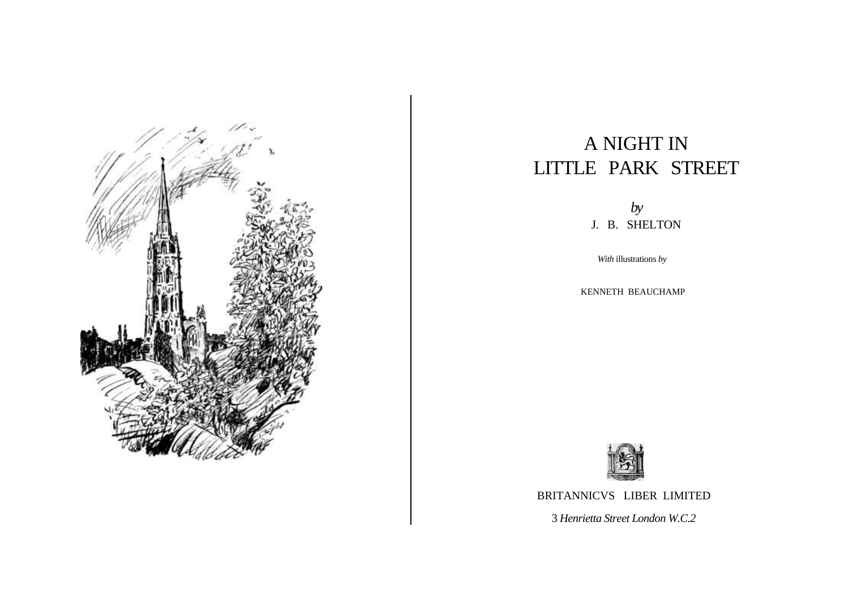

# A NIGHT IN LITTLE PARK STREET

*by* J. B. SHELTON

*With* illustrations *by*

KENNETH BEAUCHAMP



BRITANNICVS LIBER LIMITED

3 *Henrietta Street London W.C.2*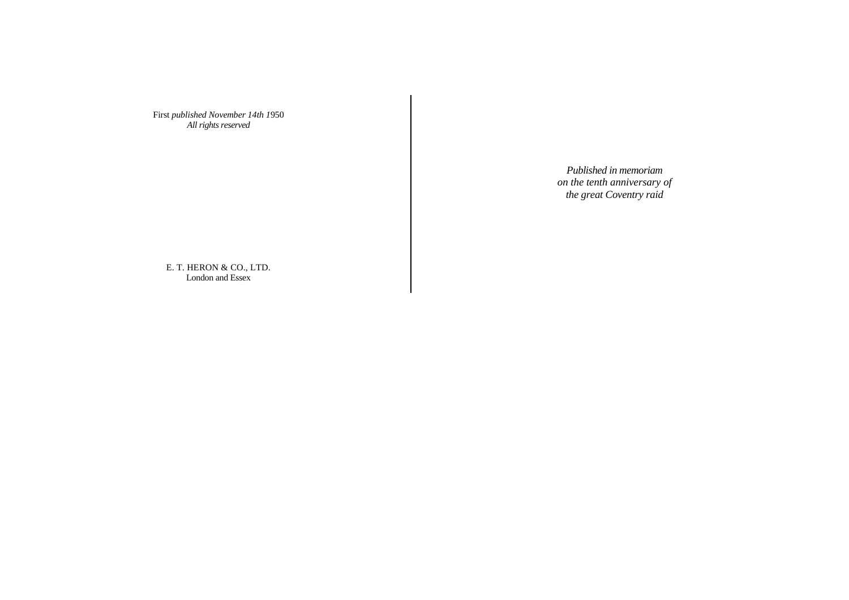First *published November 14th 1*950 *All rights reserved*

> *Published in memoriam on the tenth anniversary of the great Coventry raid*

E. T. HERON & CO., LTD. London and Essex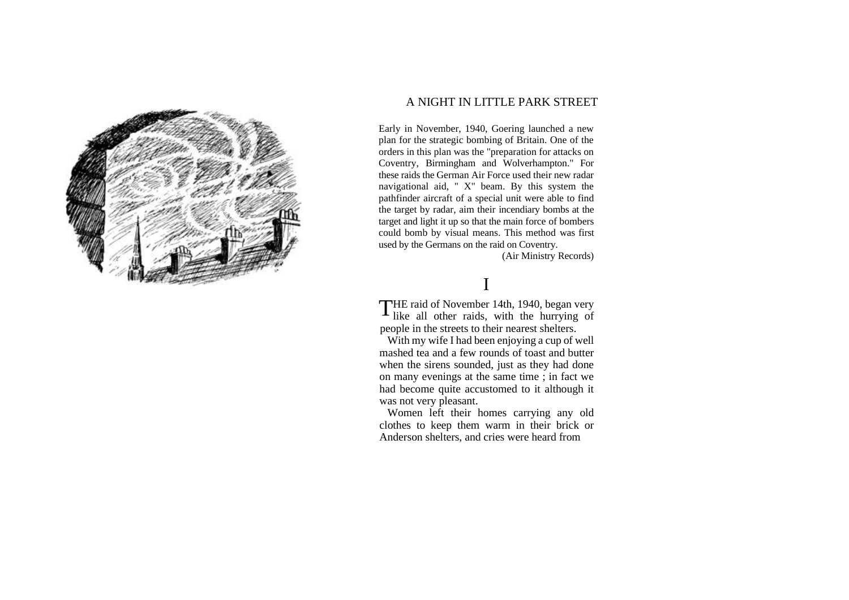

### A NIGHT IN LITTLE PARK STREET

Early in November, 1940, Goering launched a new plan for the strategic bombing of Britain. One of the orders in this plan was the "preparation for attacks on Coventry, Birmingham and Wolverhampton." For these raids the German Air Force used their new radar navigational aid, " X" beam. By this system the pathfinder aircraft of a special unit were able to find the target by radar, aim their incendiary bombs at the target and light it up so that the main force of bombers could bomb by visual means. This method was first used by the Germans on the raid on Coventry.

(Air Ministry Records)

## I

THE raid of November 14th, 1940, began very<br>like all other raids, with the hurrying of like all other raids, with the hurrying of people in the streets to their nearest shelters.

With my wife I had been enjoying a cup of well mashed tea and a few rounds of toast and butter when the sirens sounded, just as they had done on many evenings at the same time ; in fact we had become quite accustomed to it although it was not very pleasant.

Women left their homes carrying any old clothes to keep them warm in their brick or Anderson shelters, and cries were heard from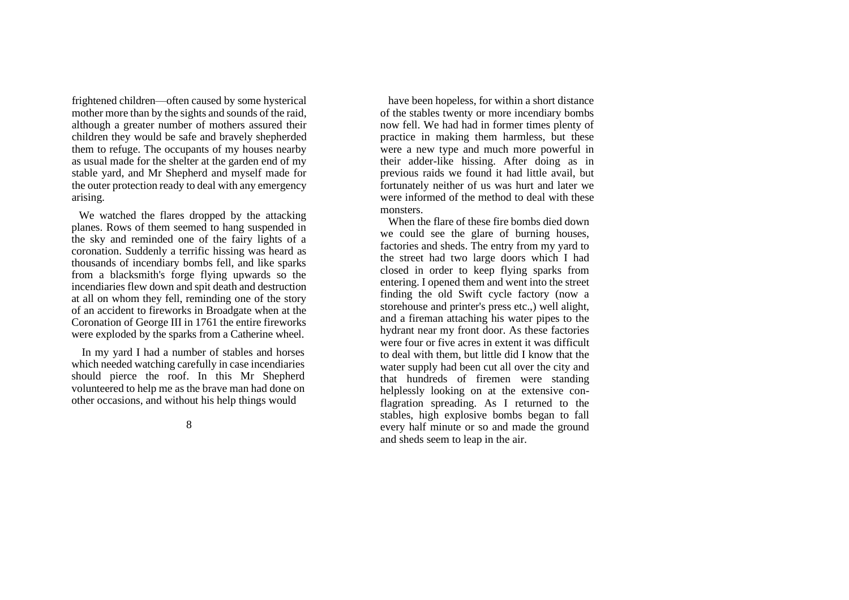frightened children—often caused by some hysterical mother more than by the sights and sounds of the raid, although a greater number of mothers assured their children they would be safe and bravely shepherded them to refuge. The occupants of my houses nearby as usual made for the shelter at the garden end of my stable yard, and Mr Shepherd and myself made for the outer protection ready to deal with any emergency arising.

We watched the flares dropped by the attacking planes. Rows of them seemed to hang suspended in the sky and reminded one of the fairy lights of a coronation. Suddenly a terrific hissing was heard as thousands of incendiary bombs fell, and like sparks from a blacksmith's forge flying upwards so the incendiaries flew down and spit death and destruction at all on whom they fell, reminding one of the story of an accident to fireworks in Broadgate when at the Coronation of George III in 1761 the entire fireworks were exploded by the sparks from a Catherine wheel.

In my yard I had a number of stables and horses which needed watching carefully in case incendiaries should pierce the roof. In this Mr Shepherd volunteered to help me as the brave man had done on other occasions, and without his help things would

8

have been hopeless, for within a short distance of the stables twenty or more incendiary bombs now fell. We had had in former times plenty of practice in making them harmless, but these were a new type and much more powerful in their adder-like hissing. After doing as in previous raids we found it had little avail, but fortunately neither of us was hurt and later we were informed of the method to deal with these monsters.

When the flare of these fire bombs died down we could see the glare of burning houses, factories and sheds. The entry from my yard to the street had two large doors which I had closed in order to keep flying sparks from entering. I opened them and went into the street finding the old Swift cycle factory (now a storehouse and printer's press etc.,) well alight, and a fireman attaching his water pipes to the hydrant near my front door. As these factories were four or five acres in extent it was difficult to deal with them, but little did I know that the water supply had been cut all over the city and that hundreds of firemen were standing helplessly looking on at the extensive conflagration spreading. As I returned to the stables, high explosive bombs began to fall every half minute or so and made the ground and sheds seem to leap in the air.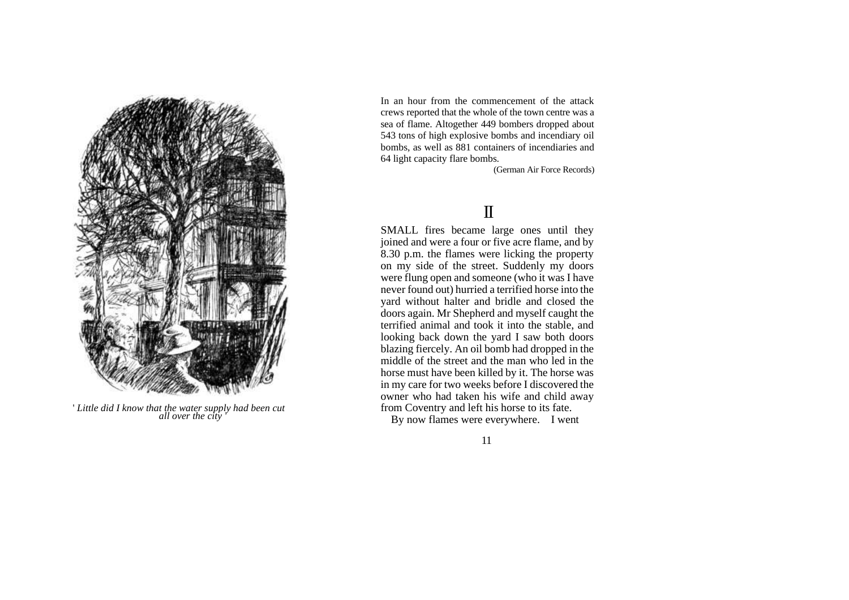

' *Little did I know that the water supply had been cut all over the city '*

In an hour from the commencement of the attack crews reported that the whole of the town centre was a sea of flame. Altogether 449 bombers dropped about 543 tons of high explosive bombs and incendiary oil bombs, as well as 881 containers of incendiaries and 64 light capacity flare bombs.

(German Air Force Records)

# II

SMALL fires became large ones until they joined and were a four or five acre flame, and by 8.30 p.m. the flames were licking the property on my side of the street. Suddenly my doors were flung open and someone (who it was I have never found out) hurried a terrified horse into the yard without halter and bridle and closed the doors again. Mr Shepherd and myself caught the terrified animal and took it into the stable, and looking back down the yard I saw both doors blazing fiercely. An oil bomb had dropped in the middle of the street and the man who led in the horse must have been killed by it. The horse was in my care for two weeks before I discovered the owner who had taken his wife and child away from Coventry and left his horse to its fate.

By now flames were everywhere. I went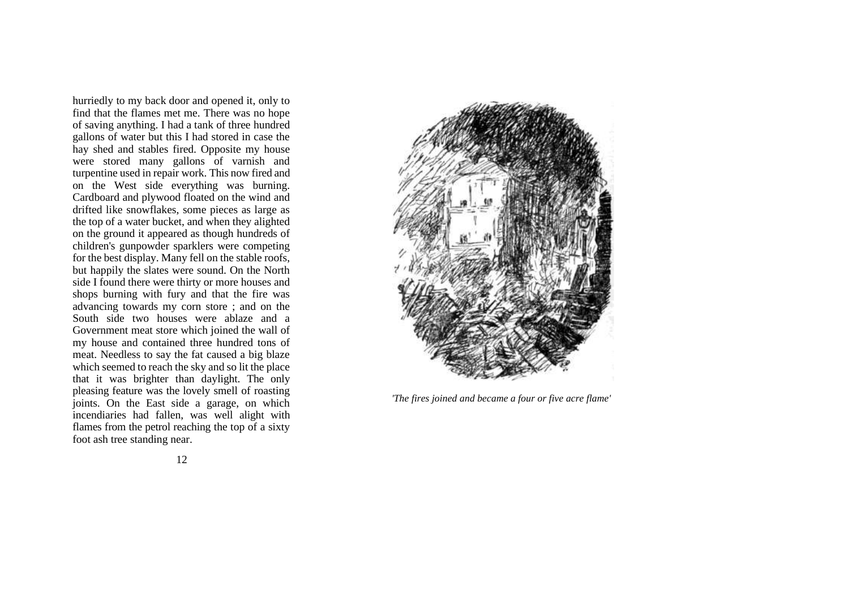hurriedly to my back door and opened it, only to find that the flames met me. There was no hope of saving anything. I had a tank of three hundred gallons of water but this I had stored in case the hay shed and stables fired. Opposite my house were stored many gallons of varnish and turpentine used in repair work. This now fired and on the West side everything was burning. Cardboard and plywood floated on the wind and drifted like snowflakes, some pieces as large as the top of a water bucket, and when they alighted on the ground it appeared as though hundreds of children's gunpowder sparklers were competing for the best display. Many fell on the stable roofs, but happily the slates were sound. On the North side I found there were thirty or more houses and shops burning with fury and that the fire was advancing towards my corn store ; and on the South side two houses were ablaze and a Government meat store which joined the wall of my house and contained three hundred tons of meat. Needless to say the fat caused a big blaze which seemed to reach the sky and so lit the place that it was brighter than daylight. The only pleasing feature was the lovely smell of roasting joints. On the East side a garage, on which incendiaries had fallen, was well alight with flames from the petrol reaching the top of a sixty foot ash tree standing near.



*'The fires joined and became a four or five acre flame'*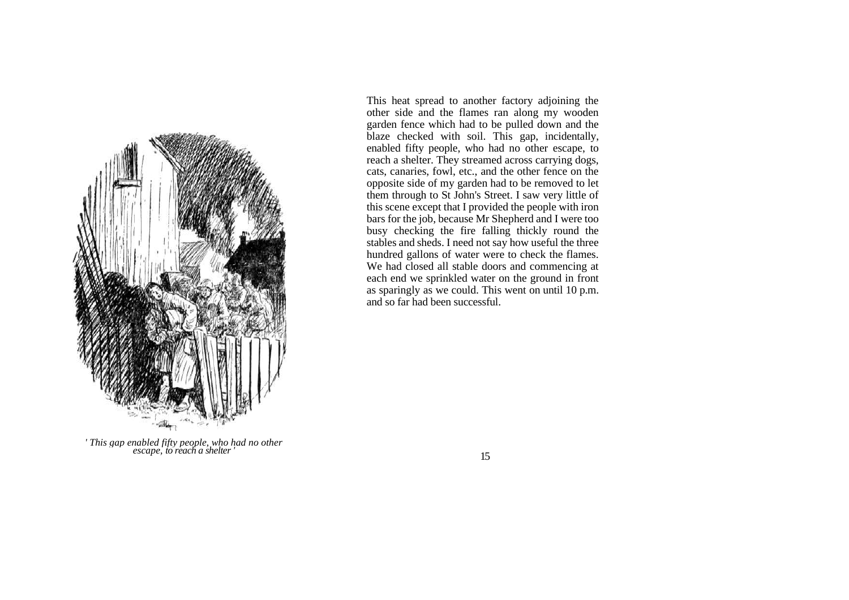

*' This gap enabled fifty people, who had no other escape, to reach a shelter '*

This heat spread to another factory adjoining the other side and the flames ran along my wooden garden fence which had to be pulled down and the blaze checked with soil. This gap, incidentally, enabled fifty people, who had no other escape, to reach a shelter. They streamed across carrying dogs, cats, canaries, fowl, etc., and the other fence on the opposite side of my garden had to be removed to let them through to St John's Street. I saw very little of this scene except that I provided the people with iron bars for the job, because Mr Shepherd and I were too busy checking the fire falling thickly round the stables and sheds. I need not say how useful the three hundred gallons of water were to check the flames. We had closed all stable doors and commencing at each end we sprinkled water on the ground in front as sparingly as we could. This went on until 10 p.m. and so far had been successful.

15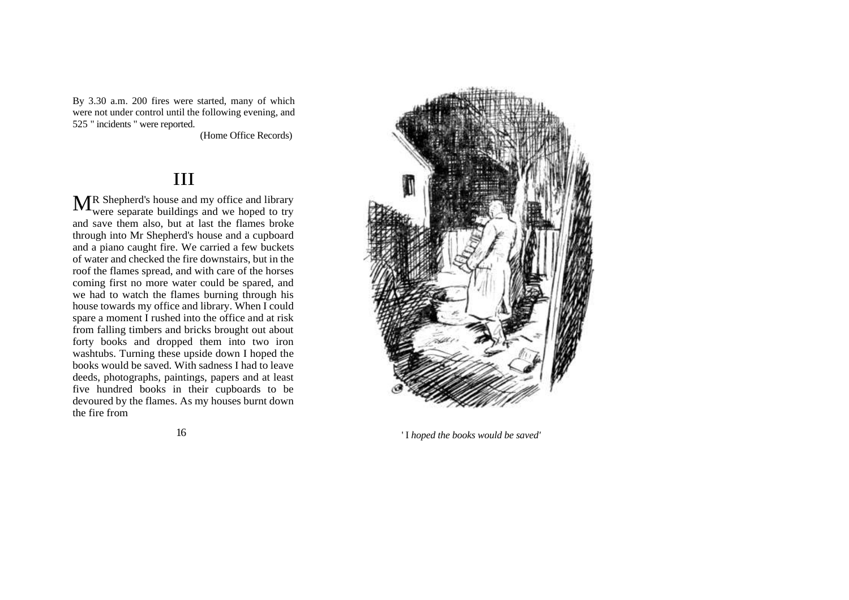By 3.30 a.m. 200 fires were started, many of which were not under control until the following evening, and 525 " incidents " were reported.

(Home Office Records)

# III

R Shepherd's house and my office and library MR Shepherd's house and my office and library<br>were separate buildings and we hoped to try and save them also, but at last the flames broke through into Mr Shepherd's house and a cupboard and a piano caught fire. We carried a few buckets of water and checked the fire downstairs, but in the roof the flames spread, and with care of the horses coming first no more water could be spared, and we had to watch the flames burning through his house towards my office and library. When I could spare a moment I rushed into the office and at risk from falling timbers and bricks brought out about forty books and dropped them into two iron washtubs. Turning these upside down I hoped the books would be saved. With sadness I had to leave deeds, photographs, paintings, papers and at least five hundred books in their cupboards to be devoured by the flames. As my houses burnt down the fire from

16



' I *hoped the books would be saved'*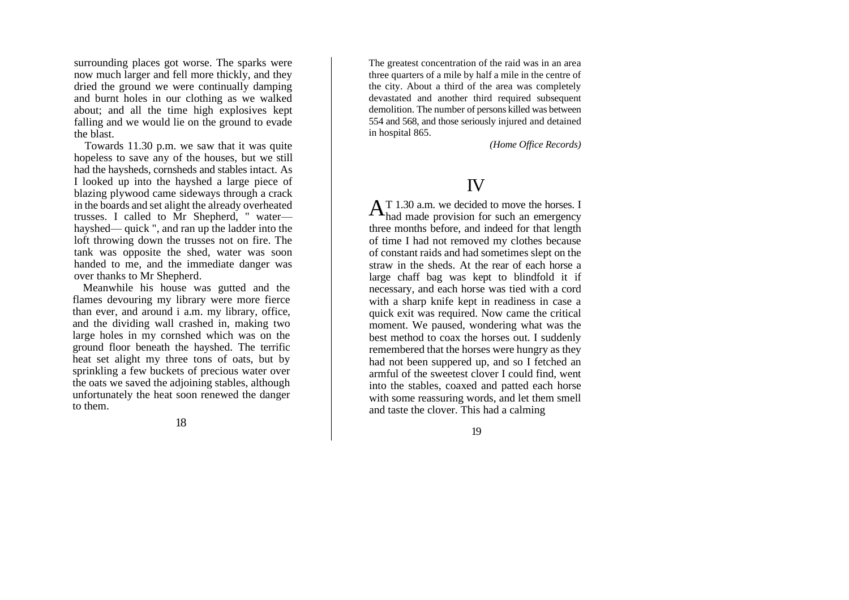surrounding places got worse. The sparks were now much larger and fell more thickly, and they dried the ground we were continually damping and burnt holes in our clothing as we walked about; and all the time high explosives kept falling and we would lie on the ground to evade the blast.

Towards 11.30 p.m. we saw that it was quite hopeless to save any of the houses, but we still had the haysheds, cornsheds and stables intact. As I looked up into the hayshed a large piece of blazing plywood came sideways through a crack in the boards and set alight the already overheated trusses. I called to Mr Shepherd, " water hayshed— quick ", and ran up the ladder into the loft throwing down the trusses not on fire. The tank was opposite the shed, water was soon handed to me, and the immediate danger was over thanks to Mr Shepherd.

Meanwhile his house was gutted and the flames devouring my library were more fierce than ever, and around i a.m. my library, office, and the dividing wall crashed in, making two large holes in my cornshed which was on the ground floor beneath the hayshed. The terrific heat set alight my three tons of oats, but by sprinkling a few buckets of precious water over the oats we saved the adjoining stables, although unfortunately the heat soon renewed the danger to them.

18

The greatest concentration of the raid was in an area three quarters of a mile by half a mile in the centre of the city. About a third of the area was completely devastated and another third required subsequent demolition. The number of persons killed was between 554 and 568, and those seriously injured and detained in hospital 865.

*(Home Office Records)*

### IV

T 1.30 a.m. we decided to move the horses. I  $A$ <sup>T</sup> 1.30 a.m. we decided to move the horses. I had made provision for such an emergency three months before, and indeed for that length of time I had not removed my clothes because of constant raids and had sometimes slept on the straw in the sheds. At the rear of each horse a large chaff bag was kept to blindfold it if necessary, and each horse was tied with a cord with a sharp knife kept in readiness in case a quick exit was required. Now came the critical moment. We paused, wondering what was the best method to coax the horses out. I suddenly remembered that the horses were hungry as they had not been suppered up, and so I fetched an armful of the sweetest clover I could find, went into the stables, coaxed and patted each horse with some reassuring words, and let them smell and taste the clover. This had a calming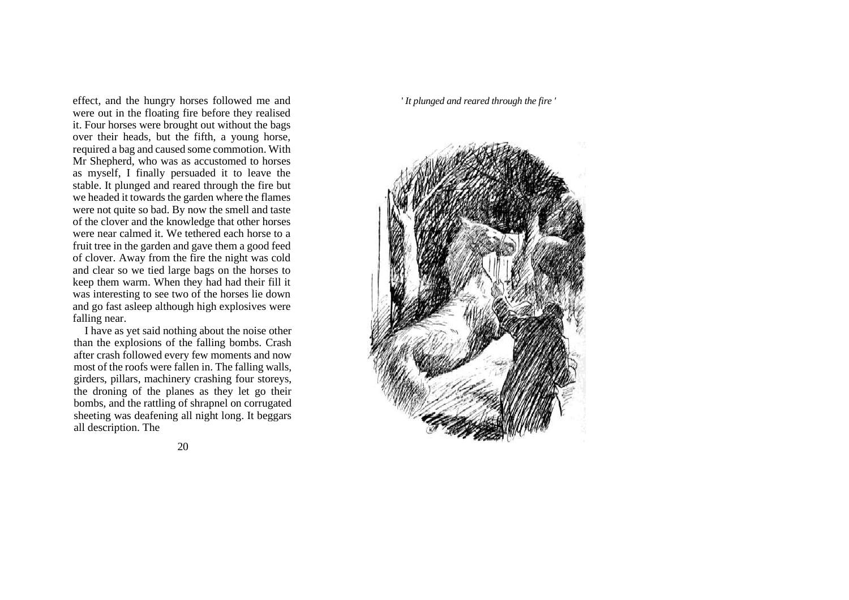effect, and the hungry horses followed me and were out in the floating fire before they realised it. Four horses were brought out without the bags over their heads, but the fifth, a young horse, required a bag and caused some commotion. With Mr Shepherd, who was as accustomed to horses as myself, I finally persuaded it to leave the stable. It plunged and reared through the fire but we headed it towards the garden where the flames were not quite so bad. By now the smell and taste of the clover and the knowledge that other horses were near calmed it. We tethered each horse to a fruit tree in the garden and gave them a good feed of clover. Away from the fire the night was cold and clear so we tied large bags on the horses to keep them warm. When they had had their fill it was interesting to see two of the horses lie down and go fast asleep although high explosives were falling near.

I have as yet said nothing about the noise other than the explosions of the falling bombs. Crash after crash followed every few moments and now most of the roofs were fallen in. The falling walls, girders, pillars, machinery crashing four storeys, the droning of the planes as they let go their bombs, and the rattling of shrapnel on corrugated sheeting was deafening all night long. It beggars all description. The

#### ' *It plunged and reared through the fire '*

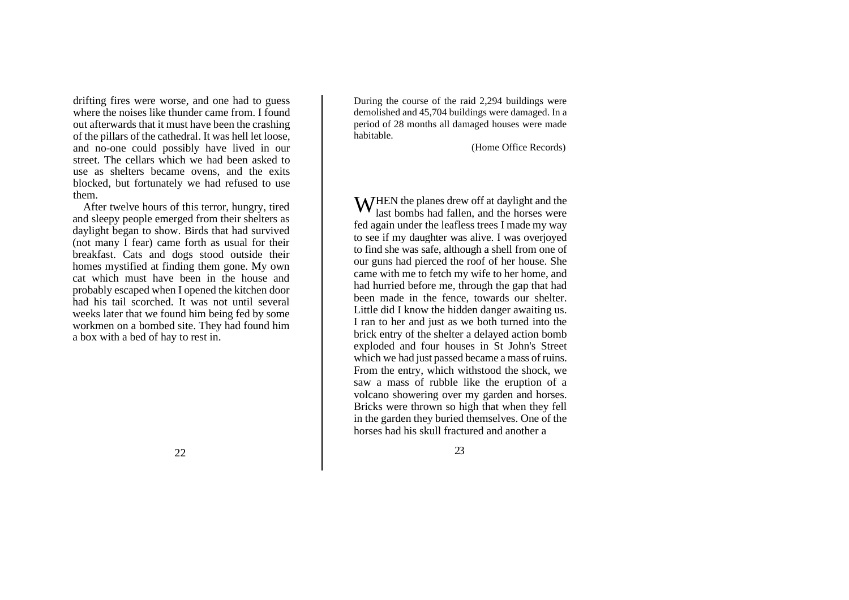drifting fires were worse, and one had to guess where the noises like thunder came from. I found out afterwards that it must have been the crashing of the pillars of the cathedral. It was hell let loose, and no-one could possibly have lived in our street. The cellars which we had been asked to use as shelters became ovens, and the exits blocked, but fortunately we had refused to use them.

After twelve hours of this terror, hungry, tired and sleepy people emerged from their shelters as daylight began to show. Birds that had survived (not many I fear) came forth as usual for their breakfast. Cats and dogs stood outside their homes mystified at finding them gone. My own cat which must have been in the house and probably escaped when I opened the kitchen door had his tail scorched. It was not until several weeks later that we found him being fed by some workmen on a bombed site. They had found him a box with a bed of hay to rest in.

During the course of the raid 2,294 buildings were demolished and 45,704 buildings were damaged. In a period of 28 months all damaged houses were made habitable.

(Home Office Records)

**W** HEN the planes drew off at daylight and the last bombs had fallen, and the horses were last bombs had fallen, and the horses were fed again under the leafless trees I made my way to see if my daughter was alive. I was overjoyed to find she was safe, although a shell from one of our guns had pierced the roof of her house. She came with me to fetch my wife to her home, and had hurried before me, through the gap that had been made in the fence, towards our shelter. Little did I know the hidden danger awaiting us. I ran to her and just as we both turned into the brick entry of the shelter a delayed action bomb exploded and four houses in St John's Street which we had just passed became a mass of ruins. From the entry, which withstood the shock, we saw a mass of rubble like the eruption of a volcano showering over my garden and horses. Bricks were thrown so high that when they fell in the garden they buried themselves. One of the horses had his skull fractured and another a

22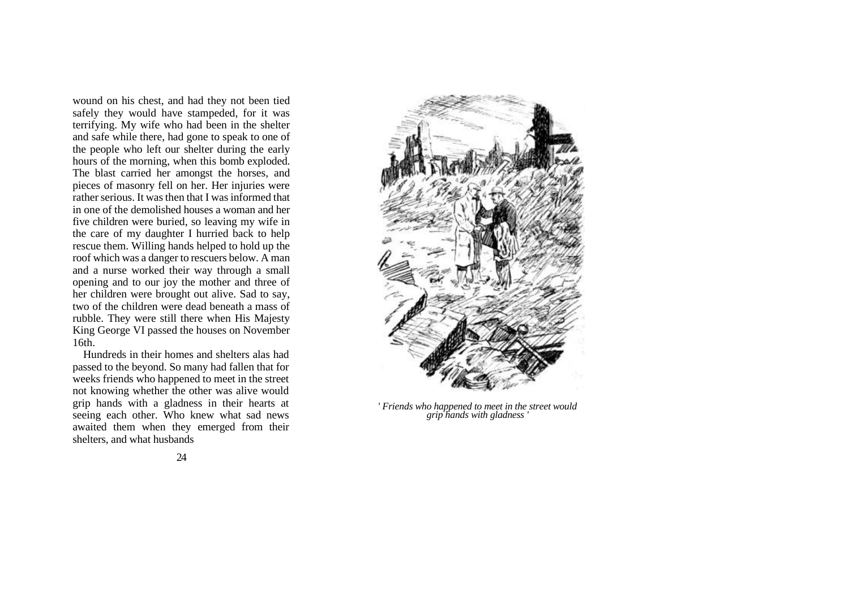wound on his chest, and had they not been tied safely they would have stampeded, for it was terrifying. My wife who had been in the shelter and safe while there, had gone to speak to one of the people who left our shelter during the early hours of the morning, when this bomb exploded. The blast carried her amongst the horses, and pieces of masonry fell on her. Her injuries were rather serious. It was then that I was informed that in one of the demolished houses a woman and her five children were buried, so leaving my wife in the care of my daughter I hurried back to help rescue them. Willing hands helped to hold up the roof which was a danger to rescuers below. A man and a nurse worked their way through a small opening and to our joy the mother and three of her children were brought out alive. Sad to say, two of the children were dead beneath a mass of rubble. They were still there when His Majesty King George VI passed the houses on November 16th.

Hundreds in their homes and shelters alas had passed to the beyond. So many had fallen that for weeks friends who happened to meet in the street not knowing whether the other was alive would grip hands with a gladness in their hearts at seeing each other. Who knew what sad news awaited them when they emerged from their shelters, and what husbands



' *Friends who happened to meet in the street would grip hands with gladness '*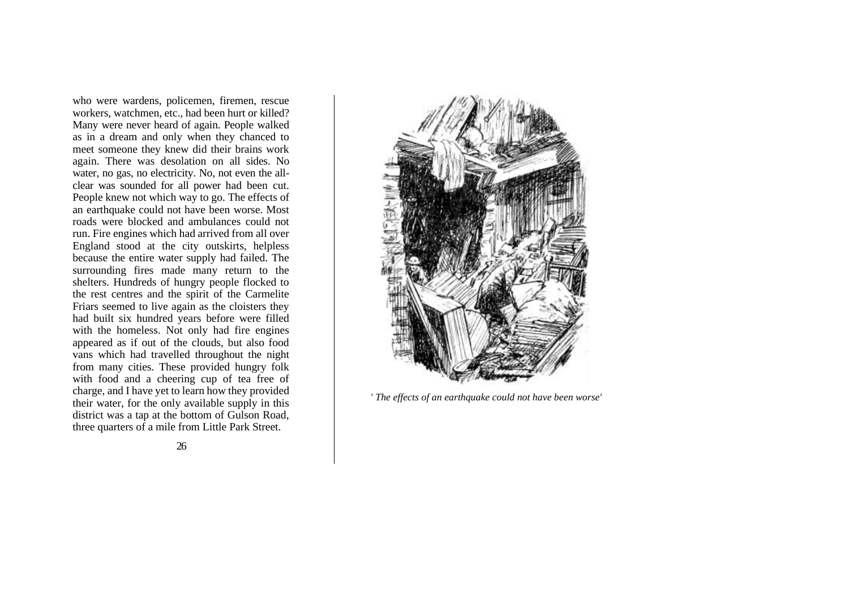who were wardens, policemen, firemen, rescue workers, watchmen, etc., had been hurt or killed? Many were never heard of again. People walked as in a dream and only when they chanced to meet someone they knew did their brains work again. There was desolation on all sides. No water, no gas, no electricity. No, not even the allclear was sounded for all power had been cut. People knew not which way to go. The effects of an earthquake could not have been worse. Most roads were blocked and ambulances could not run. Fire engines which had arrived from all over England stood at the city outskirts, helpless because the entire water supply had failed. The surrounding fires made many return to the shelters. Hundreds of hungry people flocked to the rest centres and the spirit of the Carmelite Friars seemed to live again as the cloisters they had built six hundred years before were filled with the homeless. Not only had fire engines appeared as if out of the clouds, but also food vans which had travelled throughout the night from many cities. These provided hungry folk with food and a cheering cup of tea free of charge, and I have yet to learn how they provided their water, for the only available supply in this district was a tap at the bottom of Gulson Road, three quarters of a mile from Little Park Street.



' *The effects of an earthquake could not have been worse'*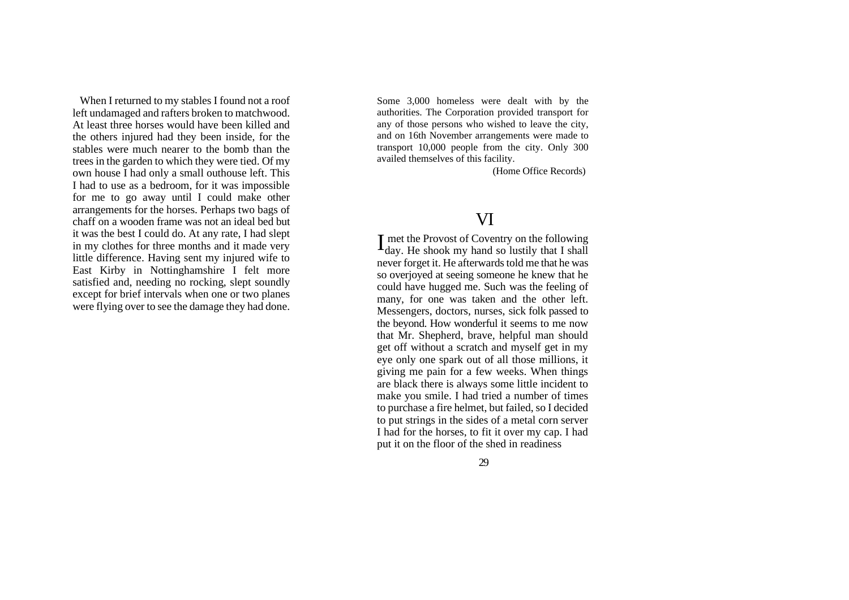When I returned to my stables I found not a roof left undamaged and rafters broken to matchwood. At least three horses would have been killed and the others injured had they been inside, for the stables were much nearer to the bomb than the trees in the garden to which they were tied. Of my own house I had only a small outhouse left. This I had to use as a bedroom, for it was impossible for me to go away until I could make other arrangements for the horses. Perhaps two bags of chaff on a wooden frame was not an ideal bed but it was the best I could do. At any rate, I had slept in my clothes for three months and it made very little difference. Having sent my injured wife to East Kirby in Nottinghamshire I felt more satisfied and, needing no rocking, slept soundly except for brief intervals when one or two planes were flying over to see the damage they had done.

Some 3,000 homeless were dealt with by the authorities. The Corporation provided transport for any of those persons who wished to leave the city, and on 16th November arrangements were made to transport 10,000 people from the city. Only 300 availed themselves of this facility.

(Home Office Records)

### VI

met the Provost of Coventry on the following I met the Provost of Coventry on the following<br>day. He shook my hand so lustily that I shall never forget it. He afterwards told me that he was so overjoyed at seeing someone he knew that he could have hugged me. Such was the feeling of many, for one was taken and the other left. Messengers, doctors, nurses, sick folk passed to the beyond. How wonderful it seems to me now that Mr. Shepherd, brave, helpful man should get off without a scratch and myself get in my eye only one spark out of all those millions, it giving me pain for a few weeks. When things are black there is always some little incident to make you smile. I had tried a number of times to purchase a fire helmet, but failed, so I decided to put strings in the sides of a metal corn server I had for the horses, to fit it over my cap. I had put it on the floor of the shed in readiness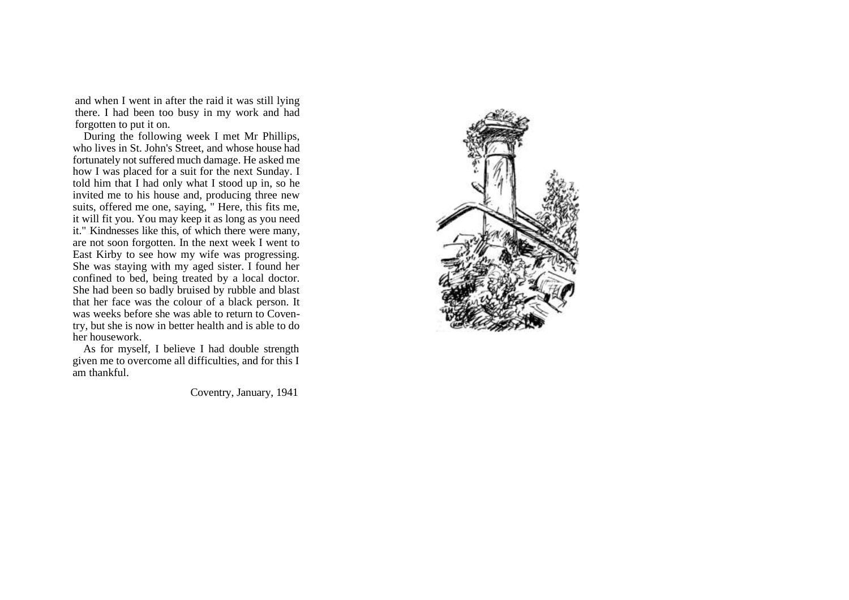and when I went in after the raid it was still lying there. I had been too busy in my work and had forgotten to put it on.

During the following week I met Mr Phillips, who lives in St. John's Street, and whose house had fortunately not suffered much damage. He asked me how I was placed for a suit for the next Sunday. I told him that I had only what I stood up in, so he invited me to his house and, producing three new suits, offered me one, saying, " Here, this fits me, it will fit you. You may keep it as long as you need it." Kindnesses like this, of which there were many, are not soon forgotten. In the next week I went to East Kirby to see how my wife was progressing. She was staying with my aged sister. I found her confined to bed, being treated by a local doctor. She had been so badly bruised by rubble and blast that her face was the colour of a black person. It was weeks before she was able to return to Coventry, but she is now in better health and is able to do her housework.

As for myself, I believe I had double strength given me to overcome all difficulties, and for this I am thankful.

Coventry, January, 1941